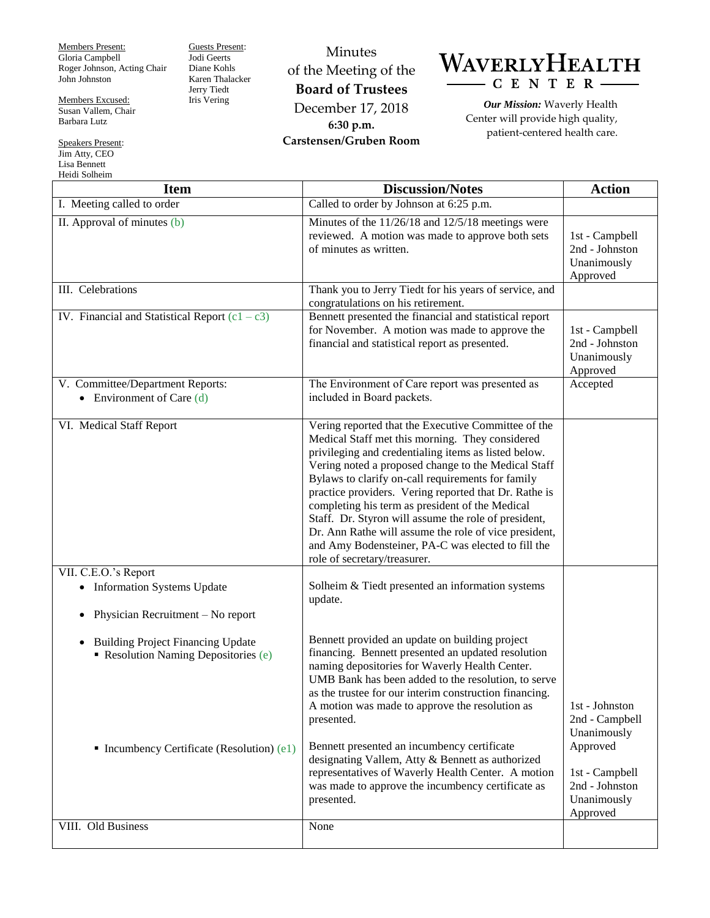Members Present: Gloria Campbell Roger Johnson, Acting Chair John Johnston

Jodi Geerts Diane Kohls

Jerry Tiedt Iris Vering

Members Excused: Susan Vallem, Chair Barbara Lutz

Speakers Present: Jim Atty, CEO Lisa Bennett Heidi Solheim

Guests Present: Karen Thalacker Minutes of the Meeting of the **Board of Trustees** December 17, 2018 **6:30 p.m.**

**Carstensen/Gruben Room**



*Our Mission:* Waverly Health Center will provide high quality, patient-centered health care.

| <b>Item</b>                                                                                                                               | <b>Discussion/Notes</b>                                                                                                                                                                                                                                                                                                                                                                                                                                                                                                                                                                       | <b>Action</b>                                               |
|-------------------------------------------------------------------------------------------------------------------------------------------|-----------------------------------------------------------------------------------------------------------------------------------------------------------------------------------------------------------------------------------------------------------------------------------------------------------------------------------------------------------------------------------------------------------------------------------------------------------------------------------------------------------------------------------------------------------------------------------------------|-------------------------------------------------------------|
| I. Meeting called to order                                                                                                                | Called to order by Johnson at 6:25 p.m.                                                                                                                                                                                                                                                                                                                                                                                                                                                                                                                                                       |                                                             |
| II. Approval of minutes (b)                                                                                                               | Minutes of the 11/26/18 and 12/5/18 meetings were<br>reviewed. A motion was made to approve both sets<br>of minutes as written.                                                                                                                                                                                                                                                                                                                                                                                                                                                               | 1st - Campbell<br>2nd - Johnston<br>Unanimously<br>Approved |
| III. Celebrations                                                                                                                         | Thank you to Jerry Tiedt for his years of service, and<br>congratulations on his retirement.                                                                                                                                                                                                                                                                                                                                                                                                                                                                                                  |                                                             |
| IV. Financial and Statistical Report $(c1 - c3)$                                                                                          | Bennett presented the financial and statistical report<br>for November. A motion was made to approve the<br>financial and statistical report as presented.                                                                                                                                                                                                                                                                                                                                                                                                                                    | 1st - Campbell<br>2nd - Johnston<br>Unanimously<br>Approved |
| V. Committee/Department Reports:<br>• Environment of Care $(d)$                                                                           | The Environment of Care report was presented as<br>included in Board packets.                                                                                                                                                                                                                                                                                                                                                                                                                                                                                                                 | Accepted                                                    |
| VI. Medical Staff Report                                                                                                                  | Vering reported that the Executive Committee of the<br>Medical Staff met this morning. They considered<br>privileging and credentialing items as listed below.<br>Vering noted a proposed change to the Medical Staff<br>Bylaws to clarify on-call requirements for family<br>practice providers. Vering reported that Dr. Rathe is<br>completing his term as president of the Medical<br>Staff. Dr. Styron will assume the role of president,<br>Dr. Ann Rathe will assume the role of vice president,<br>and Amy Bodensteiner, PA-C was elected to fill the<br>role of secretary/treasurer. |                                                             |
| VII. C.E.O.'s Report<br>• Information Systems Update                                                                                      | Solheim & Tiedt presented an information systems<br>update.                                                                                                                                                                                                                                                                                                                                                                                                                                                                                                                                   |                                                             |
| Physician Recruitment - No report<br>$\bullet$                                                                                            |                                                                                                                                                                                                                                                                                                                                                                                                                                                                                                                                                                                               |                                                             |
| <b>Building Project Financing Update</b><br>$\bullet$<br>Resolution Naming Depositories (e)<br>• Incumbency Certificate (Resolution) (e1) | Bennett provided an update on building project<br>financing. Bennett presented an updated resolution<br>naming depositories for Waverly Health Center.<br>UMB Bank has been added to the resolution, to serve<br>as the trustee for our interim construction financing.<br>A motion was made to approve the resolution as<br>presented.<br>Bennett presented an incumbency certificate                                                                                                                                                                                                        | 1st - Johnston<br>2nd - Campbell<br>Unanimously<br>Approved |
|                                                                                                                                           | designating Vallem, Atty & Bennett as authorized<br>representatives of Waverly Health Center. A motion<br>was made to approve the incumbency certificate as<br>presented.                                                                                                                                                                                                                                                                                                                                                                                                                     | 1st - Campbell<br>2nd - Johnston<br>Unanimously<br>Approved |
| VIII. Old Business                                                                                                                        | None                                                                                                                                                                                                                                                                                                                                                                                                                                                                                                                                                                                          |                                                             |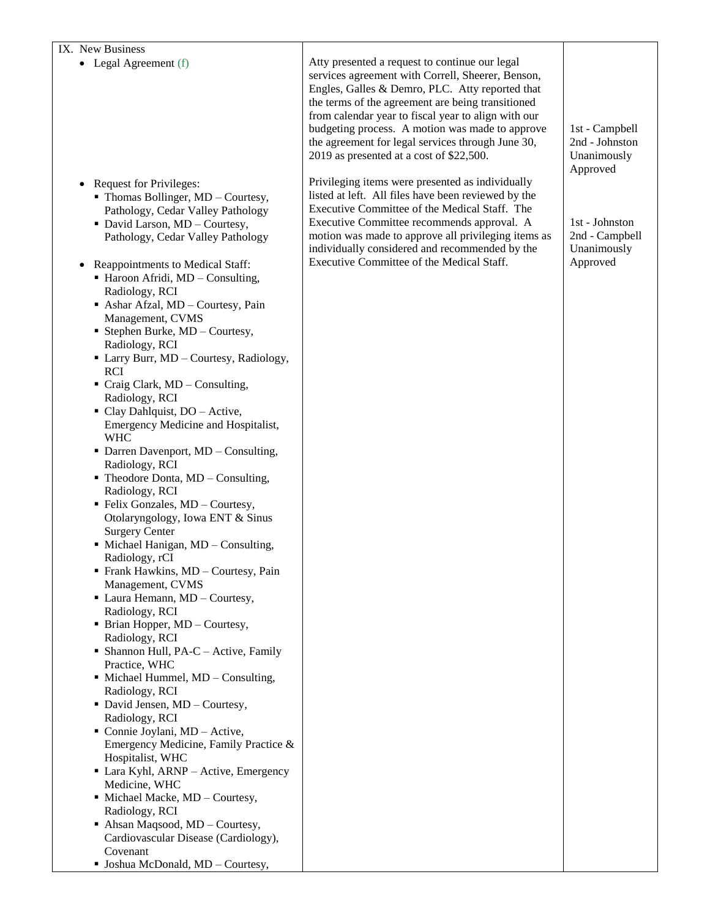## IX. New Business

• Legal Agreement (f)

- Request for Privileges:
	- Thomas Bollinger, MD Courtesy, Pathology, Cedar Valley Pathology
	- David Larson, MD Courtesy, Pathology, Cedar Valley Pathology
- Reappointments to Medical Staff:
	- Haroon Afridi, MD Consulting, Radiology, RCI
	- Ashar Afzal, MD Courtesy, Pain Management, CVMS
	- Stephen Burke, MD Courtesy, Radiology, RCI
	- Larry Burr, MD Courtesy, Radiology, RCI
	- Craig Clark, MD Consulting, Radiology, RCI
	- Clay Dahlquist, DO Active, Emergency Medicine and Hospitalist, WHC
	- Darren Davenport, MD Consulting, Radiology, RCI
	- $\blacksquare$  Theodore Donta, MD Consulting, Radiology, RCI
	- **Felix Gonzales, MD Courtesy,** Otolaryngology, Iowa ENT & Sinus Surgery Center
	- $\blacksquare$  Michael Hanigan, MD Consulting, Radiology, rCI
	- Frank Hawkins, MD Courtesy, Pain Management, CVMS
	- Laura Hemann, MD Courtesy, Radiology, RCI
	- Brian Hopper, MD Courtesy, Radiology, RCI
	- Shannon Hull, PA-C Active, Family Practice, WHC
	- Michael Hummel, MD Consulting, Radiology, RCI
	- David Jensen, MD Courtesy, Radiology, RCI
	- Connie Joylani, MD Active, Emergency Medicine, Family Practice & Hospitalist, WHC
	- Lara Kyhl, ARNP Active, Emergency Medicine, WHC
	- Michael Macke, MD Courtesy, Radiology, RCI
	- Ahsan Maqsood, MD Courtesy, Cardiovascular Disease (Cardiology), Covenant
	- Joshua McDonald, MD Courtesy,

Atty presented a request to continue our legal services agreement with Correll, Sheerer, Benson, Engles, Galles & Demro, PLC. Atty reported that the terms of the agreement are being transitioned from calendar year to fiscal year to align with our budgeting process. A motion was made to approve the agreement for legal services through June 30, 2019 as presented at a cost of \$22,500.

Privileging items were presented as individually listed at left. All files have been reviewed by the Executive Committee of the Medical Staff. The Executive Committee recommends approval. A motion was made to approve all privileging items as individually considered and recommended by the Executive Committee of the Medical Staff.

1st - Campbell 2nd - Johnston Unanimously Approved

1st - Johnston 2nd - Campbell Unanimously Approved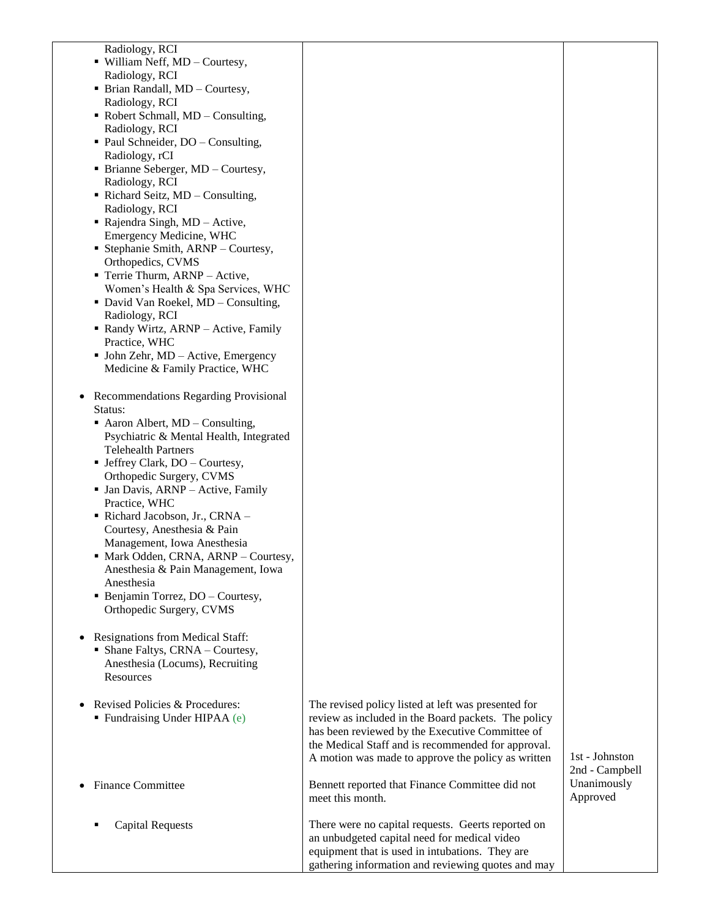Radiology, RCI

- William Neff, MD Courtesy, Radiology, RCI
- Brian Randall, MD Courtesy, Radiology, RCI
- Robert Schmall, MD Consulting, Radiology, RCI
- Paul Schneider, DO Consulting, Radiology, rCI
- Brianne Seberger, MD Courtesy, Radiology, RCI
- Richard Seitz, MD Consulting, Radiology, RCI
- Rajendra Singh, MD Active, Emergency Medicine, WHC
- Stephanie Smith, ARNP Courtesy, Orthopedics, CVMS
- **Terrie Thurm, ARNP Active,** Women's Health & Spa Services, WHC
- David Van Roekel, MD Consulting, Radiology, RCI
- Randy Wirtz, ARNP Active, Family Practice, WHC
- John Zehr, MD Active, Emergency Medicine & Family Practice, WHC
- Recommendations Regarding Provisional Status:
	- Aaron Albert, MD Consulting, Psychiatric & Mental Health, Integrated Telehealth Partners
	- Jeffrey Clark, DO Courtesy, Orthopedic Surgery, CVMS
	- Jan Davis, ARNP Active, Family Practice, WHC
	- Richard Jacobson, Jr., CRNA Courtesy, Anesthesia & Pain Management, Iowa Anesthesia
	- Mark Odden, CRNA, ARNP Courtesy, Anesthesia & Pain Management, Iowa Anesthesia
	- Benjamin Torrez, DO Courtesy, Orthopedic Surgery, CVMS
- Resignations from Medical Staff:
	- Shane Faltys, CRNA Courtesy, Anesthesia (Locums), Recruiting Resources
- Revised Policies & Procedures: Fundraising Under HIPAA (e)
- Finance Committee
	- Capital Requests

| The revised policy listed at left was presented for<br>review as included in the Board packets. The policy<br>has been reviewed by the Executive Committee of<br>the Medical Staff and is recommended for approval.<br>A motion was made to approve the policy as written |
|---------------------------------------------------------------------------------------------------------------------------------------------------------------------------------------------------------------------------------------------------------------------------|
| Bennett reported that Finance Committee did not<br>meet this month.                                                                                                                                                                                                       |

There were no capital requests. Geerts reported on an unbudgeted capital need for medical video equipment that is used in intubations. They are gathering information and reviewing quotes and may 1st - Johnston 2nd - Campbell Unanimously Approved